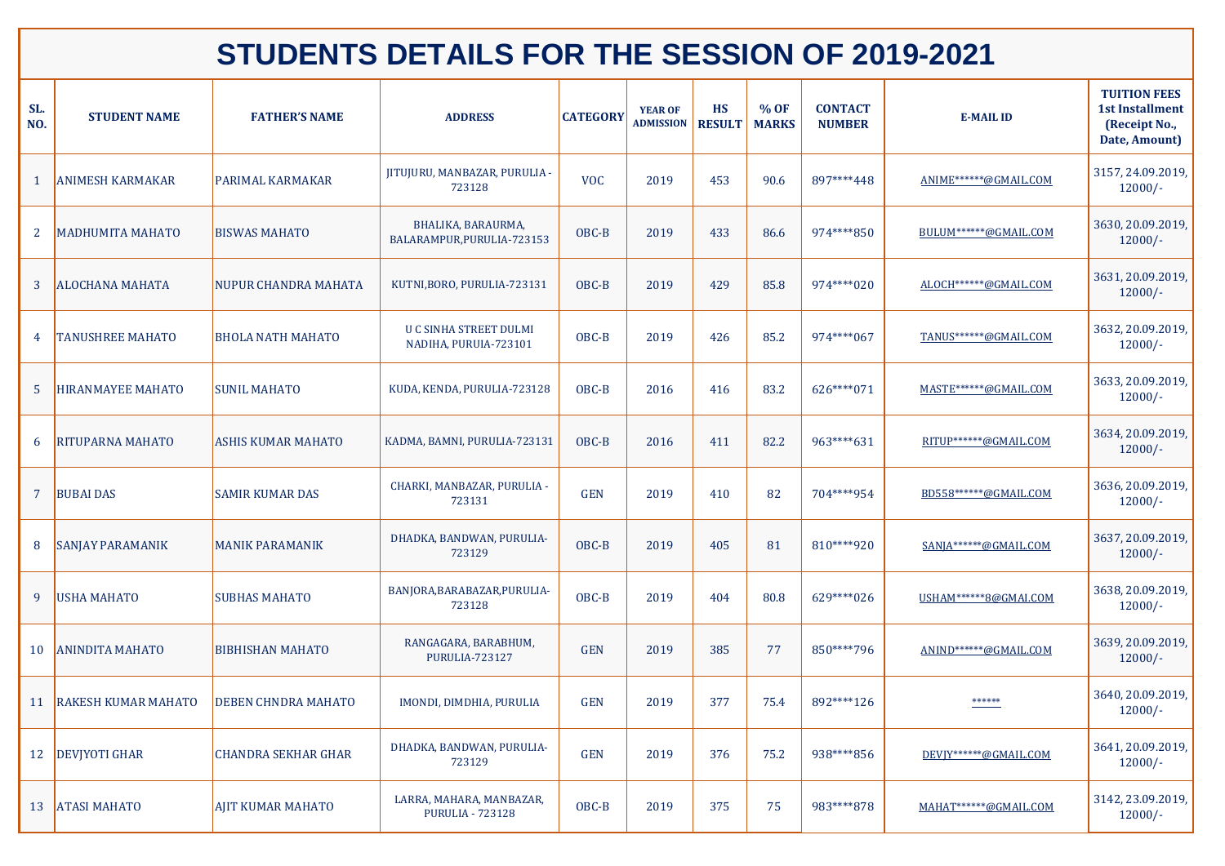| SL.<br>NO.   | <b>STUDENT NAME</b>        | <b>FATHER'S NAME</b>       | <b>ADDRESS</b>                                         | <b>CATEGORY</b> | <b>YEAR OF</b><br><b>ADMISSION</b> | <b>HS</b><br><b>RESULT</b> | % OF<br><b>MARKS</b> | <b>CONTACT</b><br><b>NUMBER</b> | <b>E-MAIL ID</b>        | <b>TUITION FEES</b><br><b>1st Installment</b><br>(Receipt No.,<br>Date, Amount) |
|--------------|----------------------------|----------------------------|--------------------------------------------------------|-----------------|------------------------------------|----------------------------|----------------------|---------------------------------|-------------------------|---------------------------------------------------------------------------------|
|              | <b>ANIMESH KARMAKAR</b>    | <b>PARIMAL KARMAKAR</b>    | JITUJURU, MANBAZAR, PURULIA -<br>723128                | <b>VOC</b>      | 2019                               | 453                        | 90.6                 | 897****448                      | ANIME******@GMAIL.COM   | 3157, 24.09.2019,<br>$12000/-$                                                  |
| 2            | <b>MADHUMITA MAHATO</b>    | <b>BISWAS MAHATO</b>       | BHALIKA, BARAURMA,<br>BALARAMPUR, PURULIA-723153       | OBC-B           | 2019                               | 433                        | 86.6                 | 974****850                      | BULUM******@GMAIL.COM   | 3630, 20.09.2019,<br>$12000/-$                                                  |
| $\mathbf{3}$ | <b>ALOCHANA MAHATA</b>     | NUPUR CHANDRA MAHATA       | KUTNI, BORO, PURULIA-723131                            | OBC-B           | 2019                               | 429                        | 85.8                 | 974****020                      | ALOCH ****** @GMAIL.COM | 3631, 20.09.2019,<br>$12000/-$                                                  |
|              | <b>TANUSHREE MAHATO</b>    | <b>BHOLA NATH MAHATO</b>   | <b>U C SINHA STREET DULMI</b><br>NADIHA, PURUIA-723101 | OBC-B           | 2019                               | 426                        | 85.2                 | 974****067                      | TANUS******@GMAIL.COM   | 3632, 20.09.2019,<br>$12000/-$                                                  |
| $5^{\circ}$  | <b>HIRANMAYEE MAHATO</b>   | <b>SUNIL MAHATO</b>        | KUDA, KENDA, PURULIA-723128                            | OBC-B           | 2016                               | 416                        | 83.2                 | 626****071                      | MASTE ****** @GMAIL.COM | 3633, 20.09.2019,<br>$12000/-$                                                  |
| 6            | <b>RITUPARNA MAHATO</b>    | <b>ASHIS KUMAR MAHATO</b>  | KADMA, BAMNI, PURULIA-723131                           | OBC-B           | 2016                               | 411                        | 82.2                 | 963****631                      | RITUP******@GMAIL.COM   | 3634, 20.09.2019,<br>$12000/-$                                                  |
|              | <b>BUBAI DAS</b>           | <b>SAMIR KUMAR DAS</b>     | CHARKI, MANBAZAR, PURULIA -<br>723131                  | <b>GEN</b>      | 2019                               | 410                        | 82                   | 704****954                      | BD558******@GMAIL.COM   | 3636, 20.09.2019,<br>$12000/-$                                                  |
|              | <b>SANJAY PARAMANIK</b>    | <b>MANIK PARAMANIK</b>     | DHADKA, BANDWAN, PURULIA-<br>723129                    | OBC-B           | 2019                               | 405                        | 81                   | 810****920                      | SANJA ****** @GMAIL.COM | 3637, 20.09.2019,<br>$12000/-$                                                  |
|              | <b>USHA MAHATO</b>         | <b>SUBHAS MAHATO</b>       | BANJORA, BARABAZAR, PURULIA-<br>723128                 | OBC-B           | 2019                               | 404                        | 80.8                 | 629****026                      | USHAM******8@GMAI.COM   | 3638, 20.09.2019,<br>$12000/-$                                                  |
| 10           | <b>ANINDITA MAHATO</b>     | <b>BIBHISHAN MAHATO</b>    | RANGAGARA, BARABHUM,<br><b>PURULIA-723127</b>          | <b>GEN</b>      | 2019                               | 385                        | 77                   | 850****796                      | ANIND******@GMAIL.COM   | 3639, 20.09.2019,<br>$12000/-$                                                  |
| 11           | <b>RAKESH KUMAR MAHATO</b> | <b>DEBEN CHNDRA MAHATO</b> | IMONDI, DIMDHIA, PURULIA                               | <b>GEN</b>      | 2019                               | 377                        | 75.4                 | 892****126                      | ******                  | 3640, 20.09.2019,<br>$12000/-$                                                  |
| 12           | <b>DEVIYOTI GHAR</b>       | <b>CHANDRA SEKHAR GHAR</b> | DHADKA, BANDWAN, PURULIA-<br>723129                    | <b>GEN</b>      | 2019                               | 376                        | 75.2                 | 938****856                      | DEVIY******@GMAIL.COM   | 3641, 20.09.2019,<br>$12000/-$                                                  |
| 13           | <b>ATASI MAHATO</b>        | <b>AJIT KUMAR MAHATO</b>   | LARRA, MAHARA, MANBAZAR,<br><b>PURULIA - 723128</b>    | OBC-B           | 2019                               | 375                        | 75                   | 983****878                      | MAHAT******@GMAIL.COM   | 3142, 23.09.2019,<br>$12000/-$                                                  |

## **STUDENTS DETAILS FOR THE SESSION OF 2019-2021**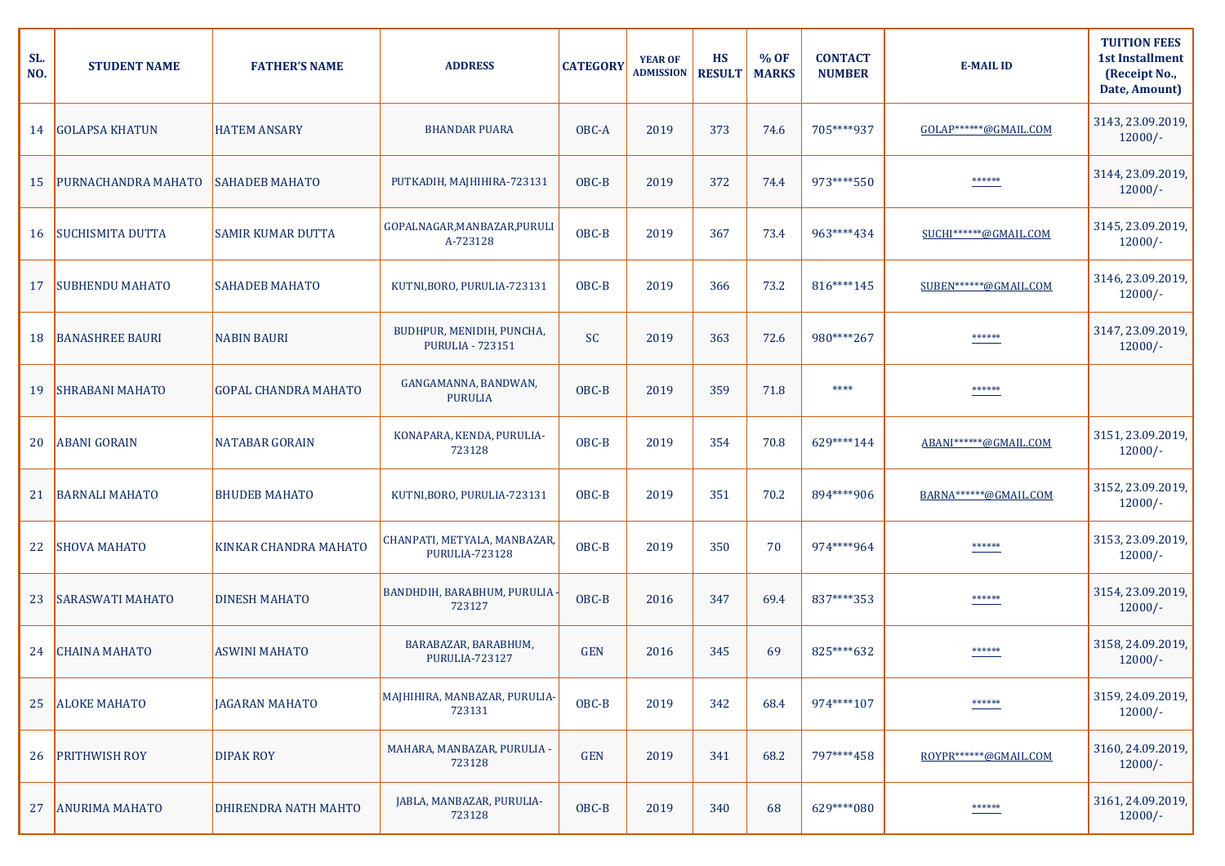| SL.<br>NO. | <b>STUDENT NAME</b>     | <b>FATHER'S NAME</b>        | <b>ADDRESS</b>                                        | <b>CATEGORY</b> | <b>YEAR OF</b><br><b>ADMISSION</b> | <b>HS</b><br><b>RESULT</b> | $%$ OF<br><b>MARKS</b> | <b>CONTACT</b><br><b>NUMBER</b> | <b>E-MAIL ID</b>      | <b>TUITION FEES</b><br><b>1st Installment</b><br>(Receipt No.,<br>Date, Amount) |
|------------|-------------------------|-----------------------------|-------------------------------------------------------|-----------------|------------------------------------|----------------------------|------------------------|---------------------------------|-----------------------|---------------------------------------------------------------------------------|
| 14         | <b>GOLAPSA KHATUN</b>   | <b>HATEM ANSARY</b>         | <b>BHANDAR PUARA</b>                                  | OBC-A           | 2019                               | 373                        | 74.6                   | 705****937                      | GOLAP******@GMAIL.COM | 3143, 23.09.2019,<br>$12000/-$                                                  |
| <b>15</b>  | PURNACHANDRA MAHATO     | <b>SAHADEB MAHATO</b>       | PUTKADIH, MAJHIHIRA-723131                            | OBC-B           | 2019                               | 372                        | 74.4                   | 973****550                      | ******                | 3144, 23.09.2019,<br>$12000/-$                                                  |
| 16         | <b>SUCHISMITA DUTTA</b> | <b>SAMIR KUMAR DUTTA</b>    | GOPALNAGAR, MANBAZAR, PURULI<br>A-723128              | OBC-B           | 2019                               | 367                        | 73.4                   | 963****434                      | SUCHI******@GMAIL.COM | 3145, 23.09.2019,<br>$12000/-$                                                  |
| 17         | <b>SUBHENDU MAHATO</b>  | <b>SAHADEB MAHATO</b>       | KUTNI, BORO, PURULIA-723131                           | OBC-B           | 2019                               | 366                        | 73.2                   | 816****145                      | SUBEN******@GMAIL.COM | 3146, 23.09.2019,<br>$12000/-$                                                  |
| 18         | <b>BANASHREE BAURI</b>  | <b>NABIN BAURI</b>          | BUDHPUR, MENIDIH, PUNCHA,<br><b>PURULIA - 723151</b>  | <b>SC</b>       | 2019                               | 363                        | 72.6                   | 980****267                      | ******                | 3147, 23.09.2019,<br>$12000/-$                                                  |
| 19         | <b>SHRABANI MAHATO</b>  | <b>GOPAL CHANDRA MAHATO</b> | GANGAMANNA, BANDWAN,<br><b>PURULIA</b>                | OBC-B           | 2019                               | 359                        | 71.8                   | ****                            | ******                |                                                                                 |
| 20         | <b>ABANI GORAIN</b>     | <b>NATABAR GORAIN</b>       | KONAPARA, KENDA, PURULIA-<br>723128                   | OBC-B           | 2019                               | 354                        | 70.8                   | 629****144                      | ABANI******@GMAIL.COM | 3151, 23.09.2019,<br>$12000/-$                                                  |
| 21         | <b>BARNALI MAHATO</b>   | <b>BHUDEB MAHATO</b>        | KUTNI, BORO, PURULIA-723131                           | OBC-B           | 2019                               | 351                        | 70.2                   | 894****906                      | BARNA******@GMAIL.COM | 3152, 23.09.2019,<br>$12000/-$                                                  |
| 22         | <b>SHOVA MAHATO</b>     | KINKAR CHANDRA MAHATO       | CHANPATI, METYALA, MANBAZAR,<br><b>PURULIA-723128</b> | OBC-B           | 2019                               | 350                        | 70                     | 974****964                      | ******                | 3153, 23.09.2019,<br>$12000/-$                                                  |
| 23         | <b>SARASWATI MAHATO</b> | <b>DINESH MAHATO</b>        | BANDHDIH, BARABHUM, PURULIA<br>723127                 | OBC-B           | 2016                               | 347                        | 69.4                   | 837****353                      | ******                | 3154, 23.09.2019,<br>$12000/-$                                                  |
| 24         | <b>CHAINA MAHATO</b>    | <b>ASWINI MAHATO</b>        | BARABAZAR, BARABHUM,<br><b>PURULIA-723127</b>         | <b>GEN</b>      | 2016                               | 345                        | 69                     | 825****632                      | ******                | 3158, 24.09.2019,<br>$12000/-$                                                  |
| 25         | <b>ALOKE MAHATO</b>     | <b>JAGARAN MAHATO</b>       | MAJHIHIRA, MANBAZAR, PURULIA-<br>723131               | OBC-B           | 2019                               | 342                        | 68.4                   | 974****107                      | ******                | 3159, 24.09.2019,<br>$12000/-$                                                  |
| 26         | PRITHWISH ROY           | <b>DIPAK ROY</b>            | MAHARA, MANBAZAR, PURULIA -<br>723128                 | <b>GEN</b>      | 2019                               | 341                        | 68.2                   | 797****458                      | ROYPR******@GMAIL.COM | 3160, 24.09.2019,<br>$12000/-$                                                  |
| 27         | <b>ANURIMA MAHATO</b>   | DHIRENDRA NATH MAHTO        | JABLA, MANBAZAR, PURULIA-<br>723128                   | OBC-B           | 2019                               | 340                        | 68                     | 629 **** 080                    | ******                | 3161, 24.09.2019,<br>$12000/-$                                                  |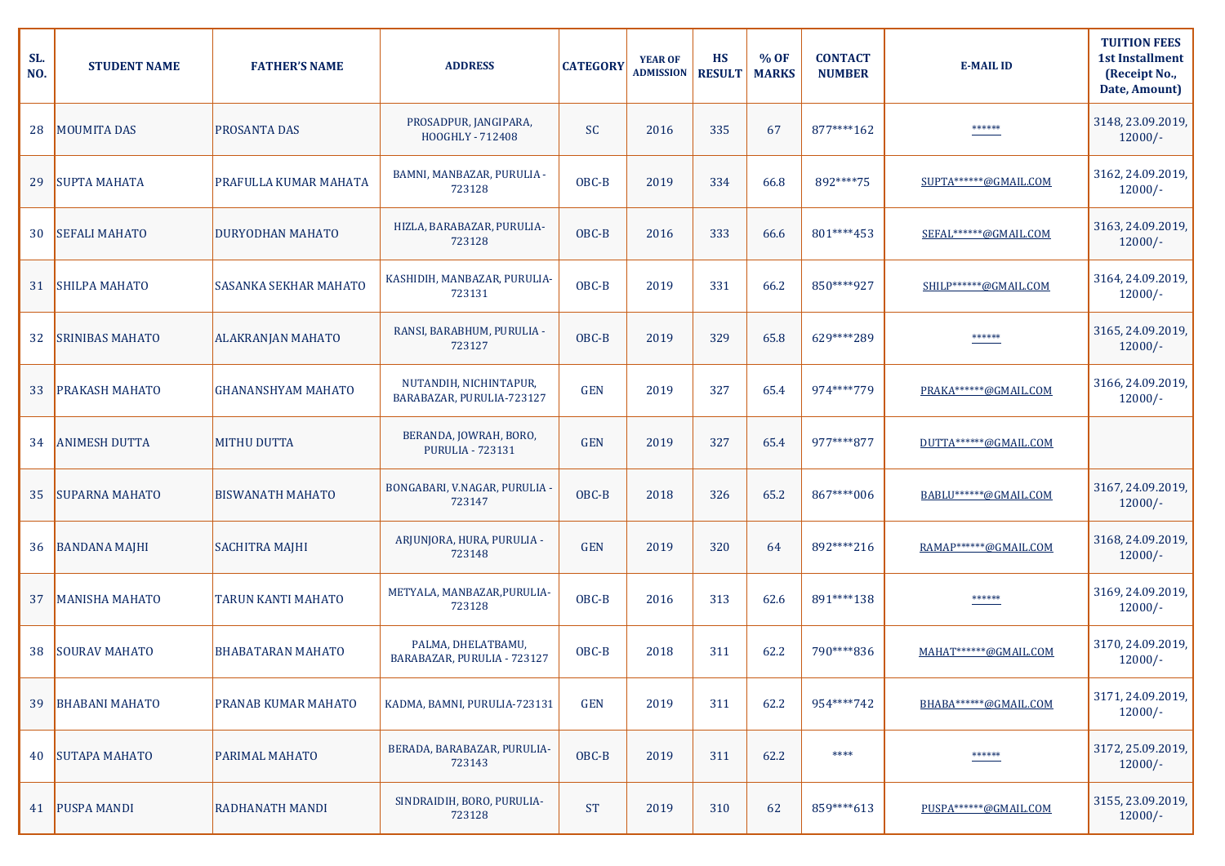| SL.<br>NO. | <b>STUDENT NAME</b>    | <b>FATHER'S NAME</b>         | <b>ADDRESS</b>                                      | <b>CATEGORY</b> | <b>YEAR OF</b><br><b>ADMISSION</b> | <b>HS</b><br><b>RESULT</b> | % OF<br><b>MARKS</b> | <b>CONTACT</b><br><b>NUMBER</b> | <b>E-MAIL ID</b>      | <b>TUITION FEES</b><br><b>1st Installment</b><br>(Receipt No.,<br>Date, Amount) |
|------------|------------------------|------------------------------|-----------------------------------------------------|-----------------|------------------------------------|----------------------------|----------------------|---------------------------------|-----------------------|---------------------------------------------------------------------------------|
| 28         | <b>MOUMITA DAS</b>     | <b>PROSANTA DAS</b>          | PROSADPUR, JANGIPARA,<br>HOOGHLY - 712408           | <b>SC</b>       | 2016                               | 335                        | 67                   | 877****162                      | ******                | 3148, 23.09.2019,<br>$12000/-$                                                  |
| 29         | <b>SUPTA MAHATA</b>    | PRAFULLA KUMAR MAHATA        | BAMNI, MANBAZAR, PURULIA -<br>723128                | OBC-B           | 2019                               | 334                        | 66.8                 | 892****75                       | SUPTA******@GMAIL.COM | 3162, 24.09.2019,<br>$12000/-$                                                  |
| 30         | <b>SEFALI MAHATO</b>   | <b>DURYODHAN MAHATO</b>      | HIZLA, BARABAZAR, PURULIA-<br>723128                | OBC-B           | 2016                               | 333                        | 66.6                 | 801****453                      | SEFAL******@GMAIL.COM | 3163, 24.09.2019,<br>$12000/-$                                                  |
| 31         | <b>SHILPA MAHATO</b>   | <b>SASANKA SEKHAR MAHATO</b> | KASHIDIH, MANBAZAR, PURULIA-<br>723131              | OBC-B           | 2019                               | 331                        | 66.2                 | 850****927                      | SHILP******@GMAIL.COM | 3164, 24.09.2019,<br>$12000/-$                                                  |
| 32         | <b>SRINIBAS MAHATO</b> | <b>ALAKRANJAN MAHATO</b>     | RANSI, BARABHUM, PURULIA -<br>723127                | OBC-B           | 2019                               | 329                        | 65.8                 | 629 **** 289                    | ******                | 3165, 24.09.2019,<br>$12000/-$                                                  |
| 33         | PRAKASH MAHATO         | <b>GHANANSHYAM MAHATO</b>    | NUTANDIH, NICHINTAPUR,<br>BARABAZAR, PURULIA-723127 | <b>GEN</b>      | 2019                               | 327                        | 65.4                 | 974****779                      | PRAKA******@GMAIL.COM | 3166, 24.09.2019,<br>$12000/-$                                                  |
| 34         | <b>ANIMESH DUTTA</b>   | <b>MITHU DUTTA</b>           | BERANDA, JOWRAH, BORO,<br><b>PURULIA - 723131</b>   | <b>GEN</b>      | 2019                               | 327                        | 65.4                 | 977****877                      | DUTTA******@GMAIL.COM |                                                                                 |
| 35         | <b>SUPARNA MAHATO</b>  | <b>BISWANATH MAHATO</b>      | BONGABARI, V.NAGAR, PURULIA<br>723147               | OBC-B           | 2018                               | 326                        | 65.2                 | 867****006                      | BABLU******@GMAIL.COM | 3167, 24.09.2019,<br>$12000/-$                                                  |
| 36         | <b>BANDANA MAJHI</b>   | <b>SACHITRA MAJHI</b>        | ARJUNJORA, HURA, PURULIA -<br>723148                | <b>GEN</b>      | 2019                               | 320                        | 64                   | 892****216                      | RAMAP******@GMAIL.COM | 3168, 24.09.2019,<br>$12000/-$                                                  |
| 37         | <b>MANISHA MAHATO</b>  | <b>TARUN KANTI MAHATO</b>    | METYALA, MANBAZAR, PURULIA-<br>723128               | OBC-B           | 2016                               | 313                        | 62.6                 | 891****138                      | ******                | 3169, 24.09.2019,<br>$12000/-$                                                  |
| 38         | <b>SOURAV MAHATO</b>   | <b>BHABATARAN MAHATO</b>     | PALMA, DHELATBAMU,<br>BARABAZAR, PURULIA - 723127   | OBC-B           | 2018                               | 311                        | 62.2                 | 790****836                      | MAHAT******@GMAIL.COM | 3170, 24.09.2019,<br>$12000/-$                                                  |
| 39         | <b>BHABANI MAHATO</b>  | PRANAB KUMAR MAHATO          | KADMA, BAMNI, PURULIA-723131                        | <b>GEN</b>      | 2019                               | 311                        | 62.2                 | 954****742                      | BHABA******@GMAIL.COM | 3171, 24.09.2019,<br>$12000/-$                                                  |
| 40         | <b>SUTAPA MAHATO</b>   | PARIMAL MAHATO               | BERADA, BARABAZAR, PURULIA-<br>723143               | OBC-B           | 2019                               | 311                        | 62.2                 | ****                            | ******                | 3172, 25.09.2019,<br>$12000/-$                                                  |
|            | 41   PUSPA MANDI       | <b>RADHANATH MANDI</b>       | SINDRAIDIH, BORO, PURULIA-<br>723128                | <b>ST</b>       | 2019                               | 310                        | 62                   | 859****613                      | PUSPA******@GMAIL.COM | 3155, 23.09.2019,<br>$12000/-$                                                  |